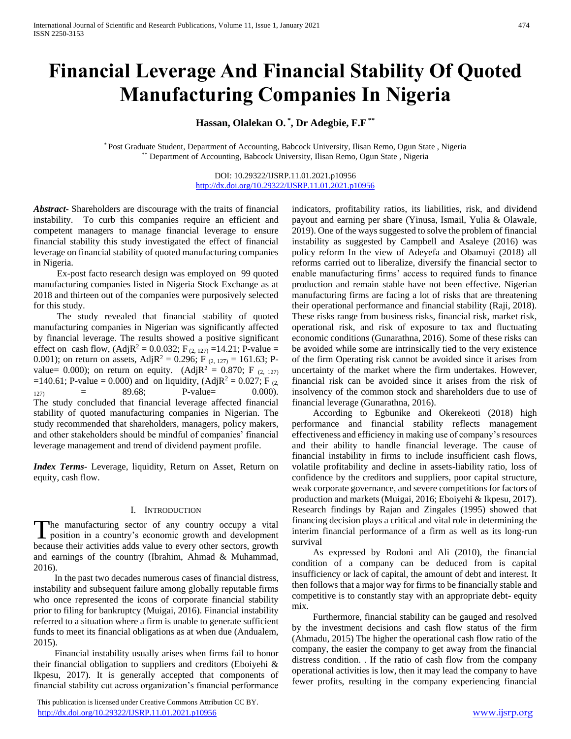# **Financial Leverage And Financial Stability Of Quoted Manufacturing Companies In Nigeria**

# **Hassan, Olalekan O. \* , Dr Adegbie, F.F \*\***

\* Post Graduate Student, Department of Accounting, Babcock University, Ilisan Remo, Ogun State , Nigeria \*\* Department of Accounting, Babcock University, Ilisan Remo, Ogun State , Nigeria

> DOI: 10.29322/IJSRP.11.01.2021.p10956 <http://dx.doi.org/10.29322/IJSRP.11.01.2021.p10956>

*Abstract***-** Shareholders are discourage with the traits of financial instability. To curb this companies require an efficient and competent managers to manage financial leverage to ensure financial stability this study investigated the effect of financial leverage on financial stability of quoted manufacturing companies in Nigeria.

 Ex-post facto research design was employed on 99 quoted manufacturing companies listed in Nigeria Stock Exchange as at 2018 and thirteen out of the companies were purposively selected for this study.

 The study revealed that financial stability of quoted manufacturing companies in Nigerian was significantly affected by financial leverage. The results showed a positive significant effect on cash flow,  $(Adj R^2 = 0.0.032; F_{(2, 127)} = 14.21; P-value =$ 0.001); on return on assets, Adj $R^2 = 0.296$ ; F<sub>(2, 127)</sub> = 161.63; Pvalue= 0.000); on return on equity. (Adj $R^2 = 0.870$ ; F (2, 127) =140.61; P-value = 0.000) and on liquidity, (Adj $R^2 = 0.027$ ; F<sub>(2,</sub>  $127$  = 89.68; P-value= 0.000). The study concluded that financial leverage affected financial stability of quoted manufacturing companies in Nigerian. The study recommended that shareholders, managers, policy makers, and other stakeholders should be mindful of companies' financial leverage management and trend of dividend payment profile.

*Index Terms*- Leverage, liquidity, Return on Asset, Return on equity, cash flow.

#### I. INTRODUCTION

he manufacturing sector of any country occupy a vital The manufacturing sector of any country occupy a vital<br>position in a country's economic growth and development because their activities adds value to every other sectors, growth and earnings of the country (Ibrahim, Ahmad & Muhammad, 2016).

 In the past two decades numerous cases of financial distress, instability and subsequent failure among globally reputable firms who once represented the icons of corporate financial stability prior to filing for bankruptcy (Muigai, 2016). Financial instability referred to a situation where a firm is unable to generate sufficient funds to meet its financial obligations as at when due (Andualem, 2015).

 Financial instability usually arises when firms fail to honor their financial obligation to suppliers and creditors (Eboiyehi & Ikpesu, 2017). It is generally accepted that components of financial stability cut across organization's financial performance

 This publication is licensed under Creative Commons Attribution CC BY. <http://dx.doi.org/10.29322/IJSRP.11.01.2021.p10956> [www.ijsrp.org](http://ijsrp.org/)

indicators, profitability ratios, its liabilities, risk, and dividend payout and earning per share (Yinusa, Ismail, Yulia & Olawale, 2019). One of the ways suggested to solve the problem of financial instability as suggested by Campbell and Asaleye (2016) was policy reform In the view of Adeyefa and Obamuyi (2018) all reforms carried out to liberalize, diversify the financial sector to enable manufacturing firms' access to required funds to finance production and remain stable have not been effective. Nigerian manufacturing firms are facing a lot of risks that are threatening their operational performance and financial stability (Raji, 2018). These risks range from business risks, financial risk, market risk, operational risk, and risk of exposure to tax and fluctuating economic conditions (Gunarathna, 2016). Some of these risks can be avoided while some are intrinsically tied to the very existence of the firm Operating risk cannot be avoided since it arises from uncertainty of the market where the firm undertakes. However, financial risk can be avoided since it arises from the risk of insolvency of the common stock and shareholders due to use of financial leverage (Gunarathna, 2016).

 According to Egbunike and Okerekeoti (2018) high performance and financial stability reflects management effectiveness and efficiency in making use of company's resources and their ability to handle financial leverage. The cause of financial instability in firms to include insufficient cash flows, volatile profitability and decline in assets-liability ratio, loss of confidence by the creditors and suppliers, poor capital structure, weak corporate governance, and severe competitions for factors of production and markets (Muigai, 2016; Eboiyehi & Ikpesu, 2017). Research findings by Rajan and Zingales (1995) showed that financing decision plays a critical and vital role in determining the interim financial performance of a firm as well as its long-run survival

 As expressed by Rodoni and Ali (2010), the financial condition of a company can be deduced from is capital insufficiency or lack of capital, the amount of debt and interest. It then follows that a major way for firms to be financially stable and competitive is to constantly stay with an appropriate debt- equity mix.

 Furthermore, financial stability can be gauged and resolved by the investment decisions and cash flow status of the firm (Ahmadu, 2015) The higher the operational cash flow ratio of the company, the easier the company to get away from the financial distress condition. . If the ratio of cash flow from the company operational activities is low, then it may lead the company to have fewer profits, resulting in the company experiencing financial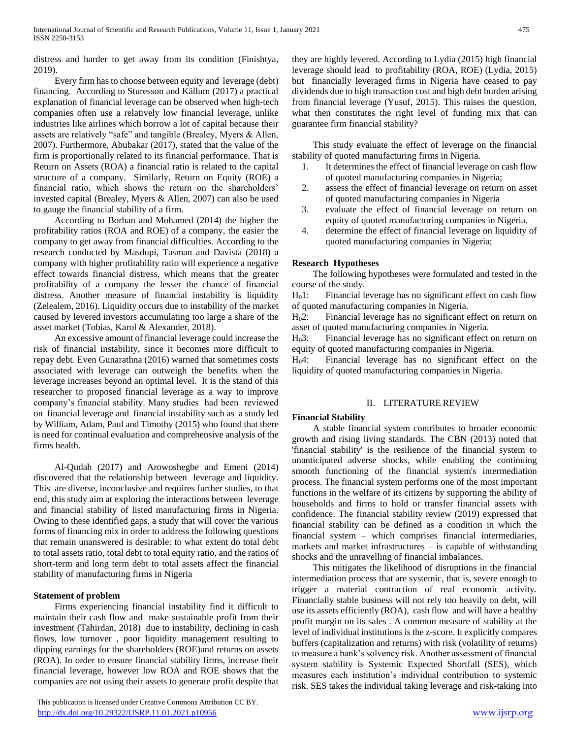distress and harder to get away from its condition (Finishtya, 2019).

 Every firm has to choose between equity and leverage (debt) financing. According to Sturesson and Källum (2017) a practical explanation of financial leverage can be observed when high-tech companies often use a relatively low financial leverage, unlike industries like airlines which borrow a lot of capital because their assets are relatively "safe" and tangible (Brealey, Myers & Allen, 2007). Furthermore, Abubakar (2017), stated that the value of the firm is proportionally related to its financial performance. That is Return on Assets (ROA) a financial ratio is related to the capital structure of a company. Similarly, Return on Equity (ROE) a financial ratio, which shows the return on the shareholders' invested capital (Brealey, Myers & Allen, 2007) can also be used to gauge the financial stability of a firm.

 According to Borhan and Mohamed (2014) the higher the profitability ratios (ROA and ROE) of a company, the easier the company to get away from financial difficulties. According to the research conducted by Masdupi, Tasman and Davista (2018) a company with higher profitability ratio will experience a negative effect towards financial distress, which means that the greater profitability of a company the lesser the chance of financial distress. Another measure of financial instability is liquidity (Zelealem, 2016). Liquidity occurs due to instability of the market caused by levered investors accumulating too large a share of the asset market (Tobias, Karol & Alexander, 2018).

 An excessive amount of financial leverage could increase the risk of financial instability, since it becomes more difficult to repay debt. Even Gunarathna (2016) warned that sometimes costs associated with leverage can outweigh the benefits when the leverage increases beyond an optimal level. It is the stand of this researcher to proposed financial leverage as a way to improve company's financial stability. Many studies had been reviewed on financial leverage and financial instability such as a study led by William, Adam, Paul and Timothy (2015) who found that there is need for continual evaluation and comprehensive analysis of the firms health.

 Al-Qudah (2017) and Arowoshegbe and Emeni (2014) discovered that the relationship between leverage and liquidity. This are diverse, inconclusive and requires further studies, to that end, this study aim at exploring the interactions between leverage and financial stability of listed manufacturing firms in Nigeria. Owing to these identified gaps, a study that will cover the various forms of financing mix in order to address the following questions that remain unanswered is desirable: to what extent do total debt to total assets ratio, total debt to total equity ratio, and the ratios of short-term and long term debt to total assets affect the financial stability of manufacturing firms in Nigeria

## **Statement of problem**

 Firms experiencing financial instability find it difficult to maintain their cash flow and make sustainable profit from their investment (Tahirdan, 2018) due to instability, declining in cash flows, low turnover , poor liquidity management resulting to dipping earnings for the shareholders (ROE)and returns on assets (ROA). In order to ensure financial stability firms, increase their financial leverage, however low ROA and ROE shows that the companies are not using their assets to generate profit despite that

 This publication is licensed under Creative Commons Attribution CC BY. <http://dx.doi.org/10.29322/IJSRP.11.01.2021.p10956> [www.ijsrp.org](http://ijsrp.org/)

they are highly levered. According to Lydia (2015) high financial leverage should lead to profitability (ROA, ROE) (Lydia, 2015) but financially leveraged firms in Nigeria have ceased to pay dividends due to high transaction cost and high debt burden arising from financial leverage (Yusuf, 2015). This raises the question, what then constitutes the right level of funding mix that can guarantee firm financial stability?

 This study evaluate the effect of leverage on the financial stability of quoted manufacturing firms in Nigeria.

- 1. It determines the effect of financial leverage on cash flow of quoted manufacturing companies in Nigeria;
- 2. assess the effect of financial leverage on return on asset of quoted manufacturing companies in Nigeria
- 3. evaluate the effect of financial leverage on return on equity of quoted manufacturing companies in Nigeria.
- 4. determine the effect of financial leverage on liquidity of quoted manufacturing companies in Nigeria;

# **Research Hypotheses**

 The following hypotheses were formulated and tested in the course of the study.

 $H<sub>0</sub>1$ : Financial leverage has no significant effect on cash flow of quoted manufacturing companies in Nigeria.

H02: Financial leverage has no significant effect on return on asset of quoted manufacturing companies in Nigeria.

H03: Financial leverage has no significant effect on return on equity of quoted manufacturing companies in Nigeria.

H04: Financial leverage has no significant effect on the liquidity of quoted manufacturing companies in Nigeria.

# II. LITERATURE REVIEW

## **Financial Stability**

 A stable financial system contributes to broader economic growth and rising living standards. The CBN (2013) noted that 'financial stability' is the resilience of the financial system to unanticipated adverse shocks, while enabling the continuing smooth functioning of the financial system's intermediation process. The financial system performs one of the most important functions in the welfare of its citizens by supporting the ability of households and firms to hold or transfer financial assets with confidence. The financial stability review (2019) expressed that financial stability can be defined as a condition in which the financial system – which comprises financial intermediaries, markets and market infrastructures – is capable of withstanding shocks and the unravelling of financial imbalances.

 This mitigates the likelihood of disruptions in the financial intermediation process that are systemic, that is, severe enough to trigger a material contraction of real economic activity. Financially stable business will not rely too heavily on debt, will use its assets efficiently (ROA), cash flow and will have a healthy profit margin on its sales . A common measure of stability at the level of individual institutions is the z-score. It explicitly compares buffers (capitalization and returns) with risk (volatility of returns) to measure a bank's solvency risk. Another assessment of financial system stability is Systemic Expected Shortfall (SES), which measures each institution's individual contribution to systemic risk. SES takes the individual taking leverage and risk-taking into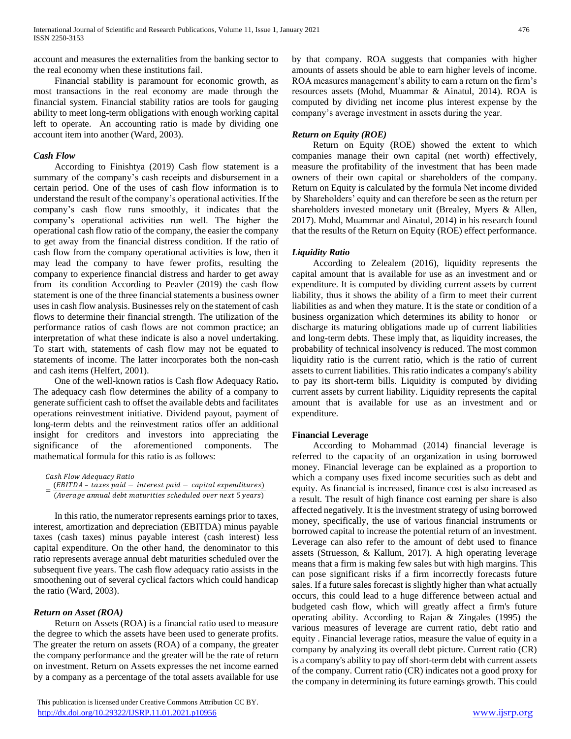account and measures the externalities from the banking sector to the real economy when these institutions fail.

 Financial stability is paramount for economic growth, as most transactions in the real economy are made through the financial system. Financial stability ratios are tools for gauging ability to meet long-term obligations with enough working capital left to operate. An accounting ratio is made by dividing one account item into another (Ward, 2003).

# *Cash Flow*

 According to Finishtya (2019) Cash flow statement is a summary of the company's cash receipts and disbursement in a certain period. One of the uses of cash flow information is to understand the result of the company's operational activities. If the company's cash flow runs smoothly, it indicates that the company's operational activities run well. The higher the operational cash flow ratio of the company, the easier the company to get away from the financial distress condition. If the ratio of cash flow from the company operational activities is low, then it may lead the company to have fewer profits, resulting the company to experience financial distress and harder to get away from its condition According to Peavler (2019) the cash flow statement is one of the three financial statements a business owner uses in cash flow analysis. Businesses rely on the statement of cash flows to determine their financial strength. The utilization of the performance ratios of cash flows are not common practice; an interpretation of what these indicate is also a novel undertaking. To start with, statements of cash flow may not be equated to statements of income. The latter incorporates both the non-cash and cash items (Helfert, 2001).

 One of the well-known ratios is Cash flow Adequacy Ratio**.**  The adequacy cash flow determines the ability of a company to generate sufficient cash to offset the available debts and facilitates operations reinvestment initiative. Dividend payout, payment of long-term debts and the reinvestment ratios offer an additional insight for creditors and investors into appreciating the significance of the aforementioned components. The mathematical formula for this ratio is as follows:

Cash Flow Adequacy Ratio = ( – − − )  $(Average$  annual debt maturities scheduled over next 5 years)

 In this ratio, the numerator represents earnings prior to taxes, interest, amortization and depreciation (EBITDA) minus payable taxes (cash taxes) minus payable interest (cash interest) less capital expenditure. On the other hand, the denominator to this ratio represents average annual debt maturities scheduled over the subsequent five years. The cash flow adequacy ratio assists in the smoothening out of several cyclical factors which could handicap the ratio (Ward, 2003).

# *Return on Asset (ROA)*

 Return on Assets (ROA) is a financial ratio used to measure the degree to which the assets have been used to generate profits. The greater the return on assets (ROA) of a company, the greater the company performance and the greater will be the rate of return on investment. Return on Assets expresses the net income earned by a company as a percentage of the total assets available for use

 This publication is licensed under Creative Commons Attribution CC BY. <http://dx.doi.org/10.29322/IJSRP.11.01.2021.p10956> [www.ijsrp.org](http://ijsrp.org/)

by that company. ROA suggests that companies with higher amounts of assets should be able to earn higher levels of income. ROA measures management's ability to earn a return on the firm's resources assets (Mohd, Muammar & Ainatul, 2014). ROA is computed by dividing net income plus interest expense by the company's average investment in assets during the year.

# *Return on Equity (ROE)*

 Return on Equity (ROE) showed the extent to which companies manage their own capital (net worth) effectively, measure the profitability of the investment that has been made owners of their own capital or shareholders of the company. Return on Equity is calculated by the formula Net income divided by Shareholders' equity and can therefore be seen as the return per shareholders invested monetary unit (Brealey, Myers & Allen, 2017). Mohd, Muammar and Ainatul, 2014) in his research found that the results of the Return on Equity (ROE) effect performance.

# *Liquidity Ratio*

 According to Zelealem (2016), liquidity represents the capital amount that is available for use as an investment and or expenditure. It is computed by dividing current assets by current liability, thus it shows the ability of a firm to meet their current liabilities as and when they mature. It is the state or condition of a business organization which determines its ability to honor or discharge its maturing obligations made up of current liabilities and long-term debts. These imply that, as liquidity increases, the probability of technical insolvency is reduced. The most common liquidity ratio is the current ratio, which is the ratio of current assets to current liabilities. This ratio indicates a company's ability to pay its short-term bills. Liquidity is computed by dividing current assets by current liability. Liquidity represents the capital amount that is available for use as an investment and or expenditure.

## **Financial Leverage**

 According to Mohammad (2014) financial leverage is referred to the capacity of an organization in using borrowed money. Financial leverage can be explained as a proportion to which a company uses fixed income securities such as debt and equity. As financial is increased, finance cost is also increased as a result. The result of high finance cost earning per share is also affected negatively. It is the investment strategy of using borrowed money, specifically, the use of various financial instruments or borrowed capital to increase the potential return of an investment. Leverage can also refer to the amount of debt used to finance assets (Struesson, & Kallum, 2017). A high operating leverage means that a firm is making few sales but with high margins. This can pose significant risks if a firm incorrectly forecasts future sales. If a future sales forecast is slightly higher than what actually occurs, this could lead to a huge difference between actual and budgeted cash flow, which will greatly affect a firm's future operating ability. According to Rajan & Zingales (1995) the various measures of leverage are current ratio, debt ratio and equity . Financial leverage ratios, measure the value of equity in a company by analyzing its overall debt picture. Current ratio (CR) is a company's ability to pay off short-term debt with current assets of the company. Current ratio (CR) indicates not a good proxy for the company in determining its future earnings growth. This could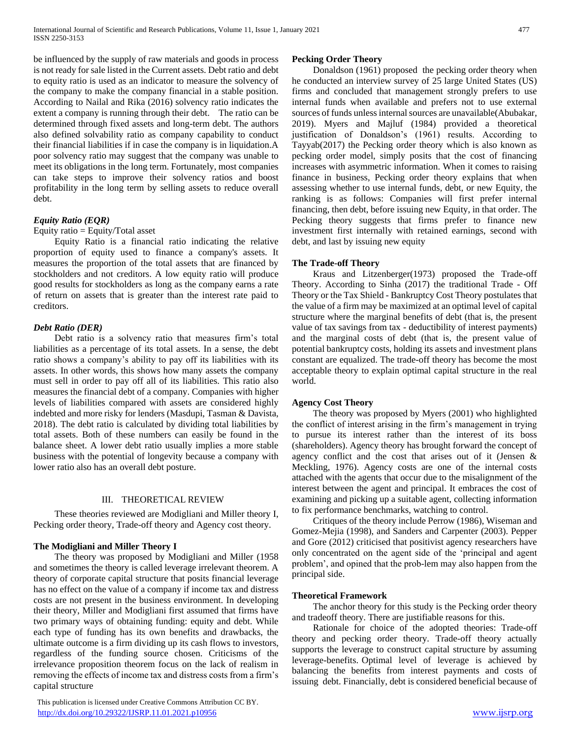be influenced by the supply of raw materials and goods in process is not ready for sale listed in the Current assets. Debt ratio and debt to equity ratio is used as an indicator to measure the solvency of the company to make the company financial in a stable position. According to Nailal and Rika (2016) solvency ratio indicates the extent a company is running through their debt. The ratio can be determined through fixed assets and long-term debt. The authors also defined solvability ratio as company capability to conduct their financial liabilities if in case the company is in liquidation.A poor solvency ratio may suggest that the company was unable to meet its obligations in the long term. Fortunately, most companies can take steps to improve their solvency ratios and boost profitability in the long term by selling assets to reduce overall debt.

# *Equity Ratio (EQR)*

#### Equity ratio = Equity/Total asset

 Equity Ratio is a financial ratio indicating the relative proportion of equity used to finance a company's assets. It measures the proportion of the total assets that are financed by stockholders and not creditors. A low equity ratio will produce good results for stockholders as long as the company earns a rate of return on assets that is greater than the interest rate paid to creditors.

## *Debt Ratio (DER)*

 Debt ratio is a solvency ratio that measures firm's total liabilities as a percentage of its total assets. In a sense, the debt ratio shows a company's ability to pay off its liabilities with its assets. In other words, this shows how many assets the company must sell in order to pay off all of its liabilities. This ratio also measures the financial debt of a company. Companies with higher levels of liabilities compared with assets are considered highly indebted and more risky for lenders (Masdupi, Tasman & Davista, 2018). The debt ratio is calculated by dividing total liabilities by total assets. Both of these numbers can easily be found in the balance sheet. A lower debt ratio usually implies a more stable business with the potential of longevity because a company with lower ratio also has an overall debt posture.

## III. THEORETICAL REVIEW

 These theories reviewed are Modigliani and Miller theory I, Pecking order theory, Trade-off theory and Agency cost theory.

## **The Modigliani and Miller Theory I**

 The theory was proposed by Modigliani and Miller (1958 and sometimes the theory is called leverage irrelevant theorem. A theory of corporate capital structure that posits financial leverage has no effect on the value of a company if income tax and distress costs are not present in the business environment. In developing their theory, Miller and Modigliani first assumed that firms have two primary ways of obtaining funding: equity and debt. While each type of funding has its own benefits and drawbacks, the ultimate outcome is a firm dividing up its cash flows to investors, regardless of the funding source chosen. Criticisms of the irrelevance proposition theorem focus on the lack of realism in removing the effects of income tax and distress costs from a firm's capital structure

#### **Pecking Order Theory**

 Donaldson (1961) proposed the pecking order theory when he conducted an interview survey of 25 large United States (US) firms and concluded that management strongly prefers to use internal funds when available and prefers not to use external sources of funds unless internal sources are unavailable(Abubakar, 2019). Myers and Majluf (1984) provided a theoretical justification of Donaldson's (1961) results. According to Tayyab(2017) the Pecking order theory which is also known as pecking order model, simply posits that the cost of financing increases with asymmetric information. When it comes to raising finance in business, Pecking order theory explains that when assessing whether to use internal funds, debt, or new Equity, the ranking is as follows: Companies will first prefer internal financing, then debt, before issuing new Equity, in that order. The Pecking theory suggests that firms prefer to finance new investment first internally with retained earnings, second with debt, and last by issuing new equity

## **The Trade-off Theory**

 Kraus and Litzenberger(1973) proposed the Trade-off Theory. According to Sinha (2017) the traditional Trade - Off Theory or the Tax Shield - Bankruptcy Cost Theory postulates that the value of a firm may be maximized at an optimal level of capital structure where the marginal benefits of debt (that is, the present value of tax savings from tax - deductibility of interest payments) and the marginal costs of debt (that is, the present value of potential bankruptcy costs, holding its assets and investment plans constant are equalized. The trade-off theory has become the most acceptable theory to explain optimal capital structure in the real world.

## **Agency Cost Theory**

 The theory was proposed by Myers (2001) who highlighted the conflict of interest arising in the firm's management in trying to pursue its interest rather than the interest of its boss (shareholders). Agency theory has brought forward the concept of agency conflict and the cost that arises out of it (Jensen & Meckling, 1976). Agency costs are one of the internal costs attached with the agents that occur due to the misalignment of the interest between the agent and principal. It embraces the cost of examining and picking up a suitable agent, collecting information to fix performance benchmarks, watching to control.

 Critiques of the theory include Perrow (1986), Wiseman and Gomez-Mejia (1998), and Sanders and Carpenter (2003). Pepper and Gore (2012) criticised that positivist agency researchers have only concentrated on the agent side of the 'principal and agent problem', and opined that the prob-lem may also happen from the principal side.

#### **Theoretical Framework**

 The anchor theory for this study is the Pecking order theory and tradeoff theory. There are justifiable reasons for this.

 Rationale for choice of the adopted theories: Trade-off theory and pecking order theory. Trade-off theory actually supports the leverage to construct capital structure by assuming leverage-benefits. Optimal level of leverage is achieved by balancing the benefits from interest payments and costs of issuing debt. Financially, debt is considered beneficial because of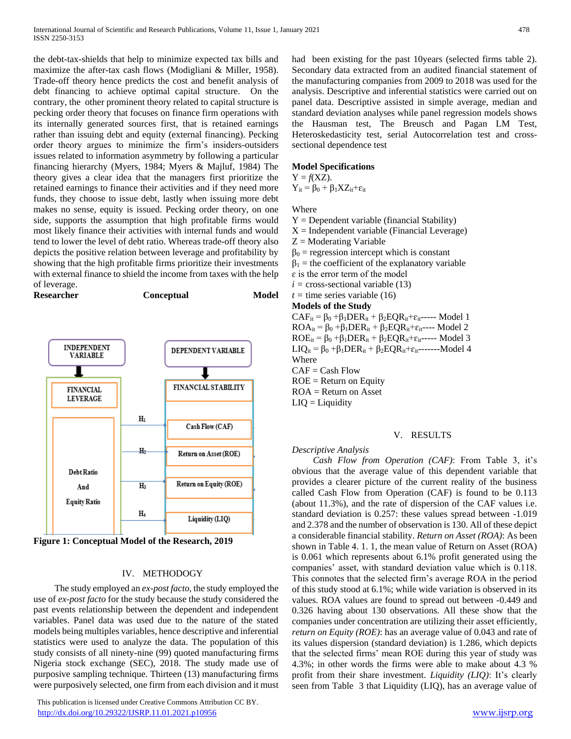the debt-tax-shields that help to minimize expected tax bills and maximize the after-tax cash flows (Modigliani & Miller, 1958). Trade-off theory hence predicts the cost and benefit analysis of debt financing to achieve optimal capital structure. On the contrary, the other prominent theory related to capital structure is pecking order theory that focuses on finance firm operations with its internally generated sources first, that is retained earnings rather than issuing debt and equity (external financing). Pecking order theory argues to minimize the firm's insiders-outsiders issues related to information asymmetry by following a particular financing hierarchy (Myers, 1984; Myers & Majluf, 1984) The theory gives a clear idea that the managers first prioritize the retained earnings to finance their activities and if they need more funds, they choose to issue debt, lastly when issuing more debt makes no sense, equity is issued. Pecking order theory, on one side, supports the assumption that high profitable firms would most likely finance their activities with internal funds and would tend to lower the level of debt ratio. Whereas trade-off theory also depicts the positive relation between leverage and profitability by showing that the high profitable firms prioritize their investments with external finance to shield the income from taxes with the help of leverage.

**Researcher Conceptual Model** 





#### IV. METHODOGY

 The study employed an *ex-post facto,* the study employed the use of *ex-post facto* for the study because the study considered the past events relationship between the dependent and independent variables. Panel data was used due to the nature of the stated models being multiples variables, hence descriptive and inferential statistics were used to analyze the data. The population of this study consists of all ninety-nine (99) quoted manufacturing firms Nigeria stock exchange (SEC), 2018. The study made use of purposive sampling technique. Thirteen (13) manufacturing firms were purposively selected, one firm from each division and it must

 This publication is licensed under Creative Commons Attribution CC BY. <http://dx.doi.org/10.29322/IJSRP.11.01.2021.p10956> [www.ijsrp.org](http://ijsrp.org/)

had been existing for the past 10years (selected firms table 2). Secondary data extracted from an audited financial statement of the manufacturing companies from 2009 to 2018 was used for the analysis. Descriptive and inferential statistics were carried out on panel data. Descriptive assisted in simple average, median and standard deviation analyses while panel regression models shows the Hausman test, The Breusch and Pagan LM Test, Heteroskedasticity test, serial Autocorrelation test and crosssectional dependence test

#### **Model Specifications**

 $Y = f(XZ)$ .

 $Y_{it} = \beta_0 + \beta_1 X Z_{it} + \varepsilon_{it}$ 

Where

- $Y = Dependent variable (financial Stability)$
- $X =$ Independent variable (Financial Leverage)
- $Z =$ Moderating Variable
- $\beta_0$  = regression intercept which is constant
- $\beta_1$  = the coefficient of the explanatory variable
- $\epsilon$  is the error term of the model
- $i =$  cross-sectional variable (13)

# $t =$  time series variable (16)

# **Models of the Study**

 $CAF_{it} = \beta_0 + \beta_1 DER_{it} + \beta_2EQR_{it} + \varepsilon_{it}$ ----- Model 1  $ROA_{it} = \beta_0 + \beta_1 DER_{it} + \beta_2EQR_{it} + \varepsilon_{it}$ ---- Model 2  $ROE_{it} = \beta_0 + \beta_1 DER_{it} + \beta_2EQR_{it} + \varepsilon_{it}$ ----- Model 3 LIQ<sub>it</sub> =  $\beta_0$  + $\beta_1$ DER<sub>it</sub> +  $\beta_2$ EQR<sub>it</sub>+ $\varepsilon$ <sub>it</sub>-------Model 4 Where CAF = Cash Flow  $ROE = Return$  on Equity ROA = Return on Asset  $LIQ = Liquidity$ 

# V. RESULTS

# *Descriptive Analysis*

 *Cash Flow from Operation (CAF)*: From Table 3, it's obvious that the average value of this dependent variable that provides a clearer picture of the current reality of the business called Cash Flow from Operation (CAF) is found to be 0.113 (about 11.3%), and the rate of dispersion of the CAF values i.e. standard deviation is 0.257: these values spread between -1.019 and 2.378 and the number of observation is 130. All of these depict a considerable financial stability. *Return on Asset (ROA)*: As been shown in Table 4. 1. 1, the mean value of Return on Asset (ROA) is 0.061 which represents about 6.1% profit generated using the companies' asset, with standard deviation value which is 0.118. This connotes that the selected firm's average ROA in the period of this study stood at 6.1%; while wide variation is observed in its values. ROA values are found to spread out between -0.449 and 0.326 having about 130 observations. All these show that the companies under concentration are utilizing their asset efficiently, *return on Equity (ROE)*: has an average value of 0.043 and rate of its values dispersion (standard deviation) is 1.286, which depicts that the selected firms' mean ROE during this year of study was 4.3%; in other words the firms were able to make about 4.3 % profit from their share investment. *Liquidity (LIQ)*: It's clearly seen from Table 3 that Liquidity (LIQ), has an average value of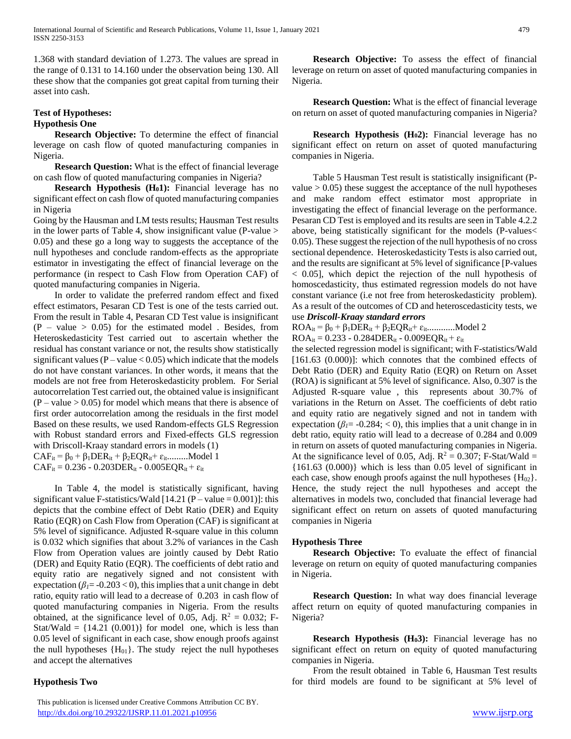1.368 with standard deviation of 1.273. The values are spread in the range of 0.131 to 14.160 under the observation being 130. All these show that the companies got great capital from turning their asset into cash.

# **Test of Hypotheses: Hypothesis One**

 **Research Objective:** To determine the effect of financial leverage on cash flow of quoted manufacturing companies in Nigeria.

 **Research Question:** What is the effect of financial leverage on cash flow of quoted manufacturing companies in Nigeria?

 **Research Hypothesis (H01):** Financial leverage has no significant effect on cash flow of quoted manufacturing companies in Nigeria

Going by the Hausman and LM tests results; Hausman Test results in the lower parts of Table 4, show insignificant value (P-value  $>$ 0.05) and these go a long way to suggests the acceptance of the null hypotheses and conclude random-effects as the appropriate estimator in investigating the effect of financial leverage on the performance (in respect to Cash Flow from Operation CAF) of quoted manufacturing companies in Nigeria.

 In order to validate the preferred random effect and fixed effect estimators, Pesaran CD Test is one of the tests carried out. From the result in Table 4, Pesaran CD Test value is insignificant  $(P - value > 0.05)$  for the estimated model. Besides, from Heteroskedasticity Test carried out to ascertain whether the residual has constant variance or not, the results show statistically significant values ( $P$  – value < 0.05) which indicate that the models do not have constant variances. In other words, it means that the models are not free from Heteroskedasticity problem. For Serial autocorrelation Test carried out, the obtained value is insignificant  $(P - value > 0.05)$  for model which means that there is absence of first order autocorrelation among the residuals in the first model Based on these results, we used Random-effects GLS Regression with Robust standard errors and Fixed-effects GLS regression with Driscoll-Kraay standard errors in models (1)  $CAF_{it} = \beta_0 + \beta_1 DER_{it} + \beta_2EQR_{it} + \varepsilon_{it}$ .........Model 1  $CAF_{it} = 0.236 - 0.203DER_{it} - 0.005EQR_{it} + \varepsilon_{it}$ 

 In Table 4, the model is statistically significant, having significant value F-statistics/Wald  $[14.21 (P - value = 0.001)]$ : this depicts that the combine effect of Debt Ratio (DER) and Equity Ratio (EQR) on Cash Flow from Operation (CAF) is significant at 5% level of significance. Adjusted R-square value in this column is 0.032 which signifies that about 3.2% of variances in the Cash Flow from Operation values are jointly caused by Debt Ratio (DER) and Equity Ratio (EQR). The coefficients of debt ratio and equity ratio are negatively signed and not consistent with expectation ( $\beta$ *<sub>1</sub>*= -0.203 < 0), this implies that a unit change in debt ratio, equity ratio will lead to a decrease of 0.203 in cash flow of quoted manufacturing companies in Nigeria. From the results obtained, at the significance level of 0.05, Adj.  $R^2 = 0.032$ ; F-Stat/Wald =  $\{14.21, (0.001)\}\$  for model one, which is less than 0.05 level of significant in each case, show enough proofs against the null hypotheses  ${H<sub>01</sub>}$ . The study reject the null hypotheses and accept the alternatives

# **Hypothesis Two**

 This publication is licensed under Creative Commons Attribution CC BY. <http://dx.doi.org/10.29322/IJSRP.11.01.2021.p10956> [www.ijsrp.org](http://ijsrp.org/)

 **Research Objective:** To assess the effect of financial leverage on return on asset of quoted manufacturing companies in Nigeria.

 **Research Question:** What is the effect of financial leverage on return on asset of quoted manufacturing companies in Nigeria?

 **Research Hypothesis (H02):** Financial leverage has no significant effect on return on asset of quoted manufacturing companies in Nigeria.

 Table 5 Hausman Test result is statistically insignificant (Pvalue  $> 0.05$ ) these suggest the acceptance of the null hypotheses and make random effect estimator most appropriate in investigating the effect of financial leverage on the performance. Pesaran CD Test is employed and its results are seen in Table 4.2.2 above, being statistically significant for the models (P-values< 0.05). These suggest the rejection of the null hypothesis of no cross sectional dependence. Heteroskedasticity Tests is also carried out, and the results are significant at 5% level of significance [P-values < 0.05], which depict the rejection of the null hypothesis of homoscedasticity, thus estimated regression models do not have constant variance (i.e not free from heteroskedasticity problem). As a result of the outcomes of CD and heteroscedasticity tests, we use *Driscoll-Kraay standard errors*

 $ROA_{it} = \beta_0 + \beta_1 DER_{it} + \beta_2EQR_{it} + \varepsilon_{it}$ .............Model 2

 $ROA_{it} = 0.233 - 0.284DER_{it} - 0.009EQR_{it} + \varepsilon_{it}$ 

the selected regression model is significant; with F-statistics/Wald [161.63 (0.000)]: which connotes that the combined effects of Debt Ratio (DER) and Equity Ratio (EQR) on Return on Asset (ROA) is significant at 5% level of significance. Also, 0.307 is the Adjusted R-square value , this represents about 30.7% of variations in the Return on Asset. The coefficients of debt ratio and equity ratio are negatively signed and not in tandem with expectation ( $\beta$ <sup>1</sup> = -0.284; < 0), this implies that a unit change in in debt ratio, equity ratio will lead to a decrease of 0.284 and 0.009 in return on assets of quoted manufacturing companies in Nigeria. At the significance level of 0.05, Adj.  $R^2 = 0.307$ ; F-Stat/Wald = {161.63 (0.000)} which is less than 0.05 level of significant in each case, show enough proofs against the null hypotheses  ${H_{02}}$ . Hence, the study reject the null hypotheses and accept the alternatives in models two, concluded that financial leverage had significant effect on return on assets of quoted manufacturing companies in Nigeria

## **Hypothesis Three**

 **Research Objective:** To evaluate the effect of financial leverage on return on equity of quoted manufacturing companies in Nigeria.

 **Research Question:** In what way does financial leverage affect return on equity of quoted manufacturing companies in Nigeria?

 **Research Hypothesis (H03):** Financial leverage has no significant effect on return on equity of quoted manufacturing companies in Nigeria.

 From the result obtained in Table 6, Hausman Test results for third models are found to be significant at 5% level of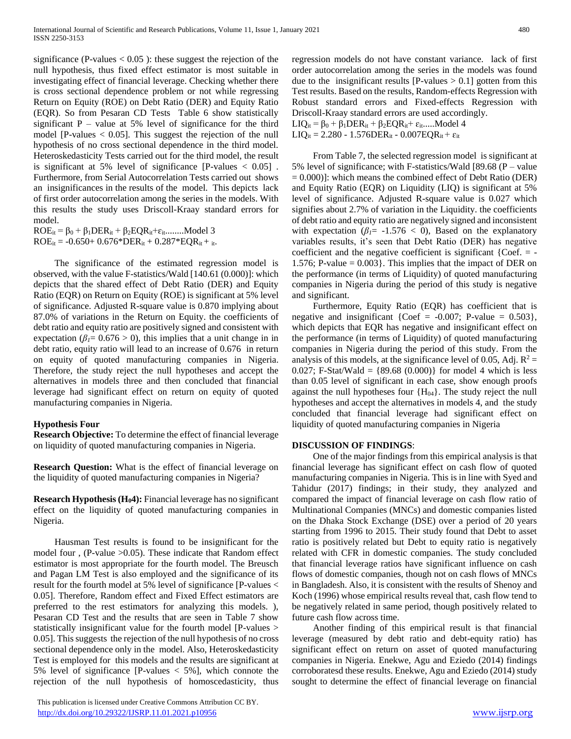significance (P-values  $< 0.05$ ): these suggest the rejection of the null hypothesis, thus fixed effect estimator is most suitable in investigating effect of financial leverage. Checking whether there is cross sectional dependence problem or not while regressing Return on Equity (ROE) on Debt Ratio (DER) and Equity Ratio (EQR). So from Pesaran CD Tests Table 6 show statistically significant  $P$  – value at 5% level of significance for the third model  $[P-values < 0.05]$ . This suggest the rejection of the null hypothesis of no cross sectional dependence in the third model. Heteroskedasticity Tests carried out for the third model, the result is significant at 5% level of significance  $[P-values < 0.05]$ . Furthermore, from Serial Autocorrelation Tests carried out shows an insignificances in the results of the model. This depicts lack of first order autocorrelation among the series in the models. With this results the study uses Driscoll-Kraay standard errors for model.

 $ROE_{it} = \beta_0 + \beta_1 DER_{it} + \beta_2EQR_{it} + \varepsilon_{it}$ ........Model 3  $ROE_{it} = -0.650 + 0.676 * DER_{it} + 0.287 *EQR_{it} + i_t.$ 

 The significance of the estimated regression model is observed, with the value F-statistics/Wald [140.61 (0.000)]: which depicts that the shared effect of Debt Ratio (DER) and Equity Ratio (EQR) on Return on Equity (ROE) is significant at 5% level of significance. Adjusted R-square value is 0.870 implying about 87.0% of variations in the Return on Equity. the coefficients of debt ratio and equity ratio are positively signed and consistent with expectation ( $\beta$ <sup>1</sup>= 0.676 > 0), this implies that a unit change in in debt ratio, equity ratio will lead to an increase of 0.676 in return on equity of quoted manufacturing companies in Nigeria. Therefore, the study reject the null hypotheses and accept the alternatives in models three and then concluded that financial leverage had significant effect on return on equity of quoted manufacturing companies in Nigeria.

## **Hypothesis Four**

**Research Objective:** To determine the effect of financial leverage on liquidity of quoted manufacturing companies in Nigeria.

**Research Question:** What is the effect of financial leverage on the liquidity of quoted manufacturing companies in Nigeria?

**Research Hypothesis (H04):** Financial leverage has no significant effect on the liquidity of quoted manufacturing companies in Nigeria.

 Hausman Test results is found to be insignificant for the model four , (P-value >0.05). These indicate that Random effect estimator is most appropriate for the fourth model. The Breusch and Pagan LM Test is also employed and the significance of its result for the fourth model at 5% level of significance [P-values < 0.05]. Therefore, Random effect and Fixed Effect estimators are preferred to the rest estimators for analyzing this models. ), Pesaran CD Test and the results that are seen in Table 7 show statistically insignificant value for the fourth model [P-values > 0.05]. This suggests the rejection of the null hypothesis of no cross sectional dependence only in the model. Also, Heteroskedasticity Test is employed for this models and the results are significant at 5% level of significance [P-values < 5%], which connote the rejection of the null hypothesis of homoscedasticity, thus

 This publication is licensed under Creative Commons Attribution CC BY. <http://dx.doi.org/10.29322/IJSRP.11.01.2021.p10956> [www.ijsrp.org](http://ijsrp.org/)

regression models do not have constant variance. lack of first order autocorrelation among the series in the models was found due to the insignificant results  $[P-values > 0.1]$  gotten from this Test results. Based on the results, Random-effects Regression with Robust standard errors and Fixed-effects Regression with Driscoll-Kraay standard errors are used accordingly.

 $LIQ_{it} = \beta_0 + \beta_1 DER_{it} + \beta_2EQR_{it} + \varepsilon_{it}$ .....Model 4

 $LIQ_{it} = 2.280 - 1.576DER_{it} - 0.007EQR_{it} + \varepsilon_{it}$ 

 From Table 7, the selected regression model is significant at 5% level of significance; with F-statistics/Wald [89.68 (P – value  $= 0.000$ ]: which means the combined effect of Debt Ratio (DER) and Equity Ratio (EQR) on Liquidity (LIQ) is significant at 5% level of significance. Adjusted R-square value is 0.027 which signifies about 2.7% of variation in the Liquidity. the coefficients of debt ratio and equity ratio are negatively signed and inconsistent with expectation ( $\beta$ <sup>1</sup> = -1.576 < 0), Based on the explanatory variables results, it's seen that Debt Ratio (DER) has negative coefficient and the negative coefficient is significant  ${Coef. = -}$ 1.576; P-value  $= 0.003$ . This implies that the impact of DER on the performance (in terms of Liquidity) of quoted manufacturing companies in Nigeria during the period of this study is negative and significant.

 Furthermore, Equity Ratio (EQR) has coefficient that is negative and insignificant {Coef =  $-0.007$ ; P-value = 0.503}, which depicts that EQR has negative and insignificant effect on the performance (in terms of Liquidity) of quoted manufacturing companies in Nigeria during the period of this study. From the analysis of this models, at the significance level of 0.05, Adj.  $R^2$  = 0.027; F-Stat/Wald =  ${89.68}$  (0.000)} for model 4 which is less than 0.05 level of significant in each case, show enough proofs against the null hypotheses four  ${H<sub>04</sub>}$ . The study reject the null hypotheses and accept the alternatives in models 4, and the study concluded that financial leverage had significant effect on liquidity of quoted manufacturing companies in Nigeria

# **DISCUSSION OF FINDINGS**:

 One of the major findings from this empirical analysis is that financial leverage has significant effect on cash flow of quoted manufacturing companies in Nigeria. This is in line with Syed and Tahidur (2017) findings; in their study, they analyzed and compared the impact of financial leverage on cash flow ratio of Multinational Companies (MNCs) and domestic companies listed on the Dhaka Stock Exchange (DSE) over a period of 20 years starting from 1996 to 2015. Their study found that Debt to asset ratio is positively related but Debt to equity ratio is negatively related with CFR in domestic companies. The study concluded that financial leverage ratios have significant influence on cash flows of domestic companies, though not on cash flows of MNCs in Bangladesh. Also, it is consistent with the results of Shenoy and Koch (1996) whose empirical results reveal that, cash flow tend to be negatively related in same period, though positively related to future cash flow across time.

 Another finding of this empirical result is that financial leverage (measured by debt ratio and debt-equity ratio) has significant effect on return on asset of quoted manufacturing companies in Nigeria. Enekwe, Agu and Eziedo (2014) findings corroboratesd these results. Enekwe, Agu and Eziedo (2014) study sought to determine the effect of financial leverage on financial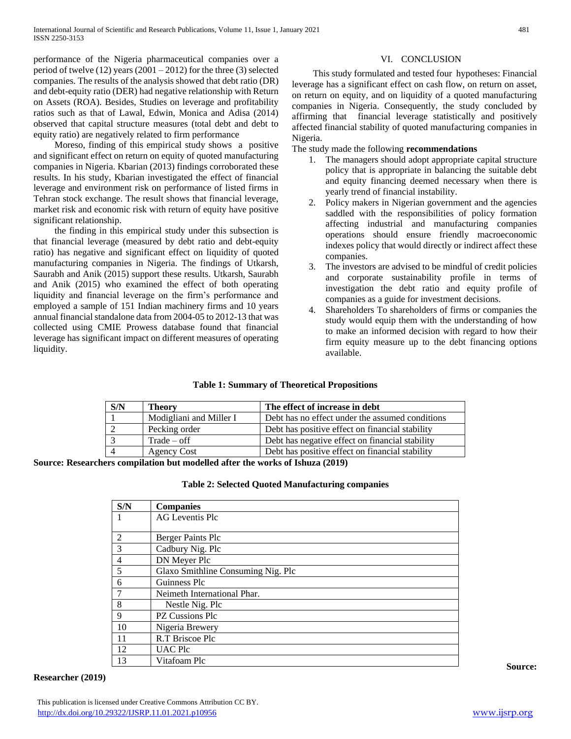performance of the Nigeria pharmaceutical companies over a period of twelve  $(12)$  years  $(2001 - 2012)$  for the three  $(3)$  selected companies. The results of the analysis showed that debt ratio (DR) and debt-equity ratio (DER) had negative relationship with Return on Assets (ROA). Besides, Studies on leverage and profitability ratios such as that of Lawal, Edwin, Monica and Adisa (2014) observed that capital structure measures (total debt and debt to equity ratio) are negatively related to firm performance

 Moreso, finding of this empirical study shows a positive and significant effect on return on equity of quoted manufacturing companies in Nigeria. Kbarian (2013) findings corroborated these results. In his study, Kbarian investigated the effect of financial leverage and environment risk on performance of listed firms in Tehran stock exchange. The result shows that financial leverage, market risk and economic risk with return of equity have positive significant relationship.

 the finding in this empirical study under this subsection is that financial leverage (measured by debt ratio and debt-equity ratio) has negative and significant effect on liquidity of quoted manufacturing companies in Nigeria. The findings of Utkarsh, Saurabh and Anik (2015) support these results. Utkarsh, Saurabh and Anik (2015) who examined the effect of both operating liquidity and financial leverage on the firm's performance and employed a sample of 151 Indian machinery firms and 10 years annual financial standalone data from 2004-05 to 2012-13 that was collected using CMIE Prowess database found that financial leverage has significant impact on different measures of operating liquidity.

# VI. CONCLUSION

 This study formulated and tested four hypotheses: Financial leverage has a significant effect on cash flow, on return on asset, on return on equity, and on liquidity of a quoted manufacturing companies in Nigeria. Consequently, the study concluded by affirming that financial leverage statistically and positively affected financial stability of quoted manufacturing companies in Nigeria.

The study made the following **recommendations**

- 1. The managers should adopt appropriate capital structure policy that is appropriate in balancing the suitable debt and equity financing deemed necessary when there is yearly trend of financial instability.
- 2. Policy makers in Nigerian government and the agencies saddled with the responsibilities of policy formation affecting industrial and manufacturing companies operations should ensure friendly macroeconomic indexes policy that would directly or indirect affect these companies.
- 3. The investors are advised to be mindful of credit policies and corporate sustainability profile in terms of investigation the debt ratio and equity profile of companies as a guide for investment decisions.
- 4. Shareholders To shareholders of firms or companies the study would equip them with the understanding of how to make an informed decision with regard to how their firm equity measure up to the debt financing options available.

# **Table 1: Summary of Theoretical Propositions**

| Theorv                  | The effect of increase in debt                  |
|-------------------------|-------------------------------------------------|
| Modigliani and Miller I | Debt has no effect under the assumed conditions |
| Pecking order           | Debt has positive effect on financial stability |
| $Trade - off$           | Debt has negative effect on financial stability |
| <b>Agency Cost</b>      | Debt has positive effect on financial stability |
|                         |                                                 |

**Source: Researchers compilation but modelled after the works of Ishuza (2019)**

|  |  | <b>Table 2: Selected Quoted Manufacturing companies</b> |  |
|--|--|---------------------------------------------------------|--|
|--|--|---------------------------------------------------------|--|

| S/N            | <b>Companies</b>                   |
|----------------|------------------------------------|
|                | AG Leventis Plc                    |
|                |                                    |
| 2              | Berger Paints Plc                  |
| 3              | Cadbury Nig. Plc                   |
| $\overline{4}$ | DN Meyer Plc                       |
| 5              | Glaxo Smithline Consuming Nig. Plc |
| 6              | Guinness Plc                       |
|                | Neimeth International Phar.        |
| 8              | Nestle Nig. Plc                    |
| 9              | PZ Cussions Plc                    |
| 10             | Nigeria Brewery                    |
| 11             | R.T Briscoe Plc                    |
| 12             | <b>UAC Plc</b>                     |
| 13             | Vitafoam Plc                       |

# **Researcher (2019)**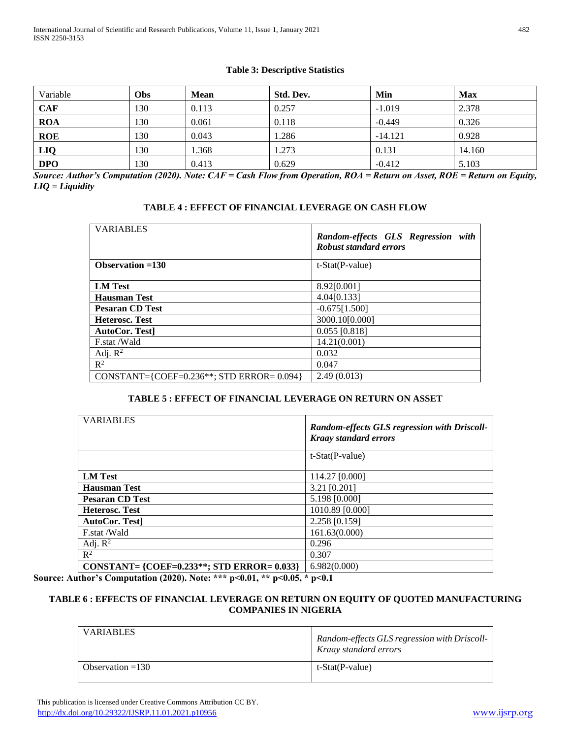# **Table 3: Descriptive Statistics**

| Variable   | Obs | <b>Mean</b> | Std. Dev. | Min       | <b>Max</b> |
|------------|-----|-------------|-----------|-----------|------------|
| <b>CAF</b> | 130 | 0.113       | 0.257     | $-1.019$  | 2.378      |
| <b>ROA</b> | 130 | 0.061       | 0.118     | $-0.449$  | 0.326      |
| <b>ROE</b> | 130 | 0.043       | 1.286     | $-14.121$ | 0.928      |
| LIQ        | 130 | 1.368       | 1.273     | 0.131     | 14.160     |
| <b>DPO</b> | 130 | 0.413       | 0.629     | $-0.412$  | 5.103      |

*Source: Author's Computation (2020). Note: CAF = Cash Flow from Operation, ROA = Return on Asset, ROE = Return on Equity, LIQ = Liquidity*

| TABLE 4 : EFFECT OF FINANCIAL LEVERAGE ON CASH FLOW |  |  |  |
|-----------------------------------------------------|--|--|--|
|-----------------------------------------------------|--|--|--|

| <b>VARIABLES</b>                                 | Random-effects GLS Regression with<br><b>Robust standard errors</b> |
|--------------------------------------------------|---------------------------------------------------------------------|
| Observation $=130$                               | $t$ -Stat(P-value)                                                  |
| <b>LM</b> Test                                   | 8.92[0.001]                                                         |
| <b>Hausman Test</b>                              | 4.04[0.133]                                                         |
| <b>Pesaran CD Test</b>                           | $-0.675[1.500]$                                                     |
| <b>Heterosc. Test</b>                            | 3000.10[0.000]                                                      |
| <b>AutoCor. Test</b>                             | $0.055$ [0.818]                                                     |
| F.stat /Wald                                     | 14.21(0.001)                                                        |
| Adj. $R^2$                                       | 0.032                                                               |
| $\mathbb{R}^2$                                   | 0.047                                                               |
| CONSTANT={COEF= $0.236**$ ; STD ERROR= $0.094$ } | 2.49(0.013)                                                         |

# **TABLE 5 : EFFECT OF FINANCIAL LEVERAGE ON RETURN ON ASSET**

| <b>VARIABLES</b>                               | <b>Random-effects GLS regression with Driscoll-</b><br><b>Kraay standard errors</b> |
|------------------------------------------------|-------------------------------------------------------------------------------------|
|                                                | $t$ -Stat(P-value)                                                                  |
| <b>LM</b> Test                                 | 114.27 [0.000]                                                                      |
| <b>Hausman Test</b>                            | 3.21 [0.201]                                                                        |
| <b>Pesaran CD Test</b>                         | 5.198 [0.000]                                                                       |
| <b>Heterosc. Test</b>                          | 1010.89 [0.000]                                                                     |
| AutoCor. Test                                  | 2.258 [0.159]                                                                       |
| F.stat /Wald                                   | 161.63(0.000)                                                                       |
| Adj. $R^2$                                     | 0.296                                                                               |
| $\mathbb{R}^2$                                 | 0.307                                                                               |
| CONSTANT= ${COEF}=0.233**$ : STD ERROR= 0.033} | 6.982(0.000)                                                                        |

**Source: Author's Computation (2020). Note: \*\*\* p<0.01, \*\* p<0.05, \* p<0.1**

# **TABLE 6 : EFFECTS OF FINANCIAL LEVERAGE ON RETURN ON EQUITY OF QUOTED MANUFACTURING COMPANIES IN NIGERIA**

| <b>VARIABLES</b>   | Random-effects GLS regression with Driscoll-<br>Kraay standard errors |
|--------------------|-----------------------------------------------------------------------|
| Observation $=130$ | t-Stat(P-value)                                                       |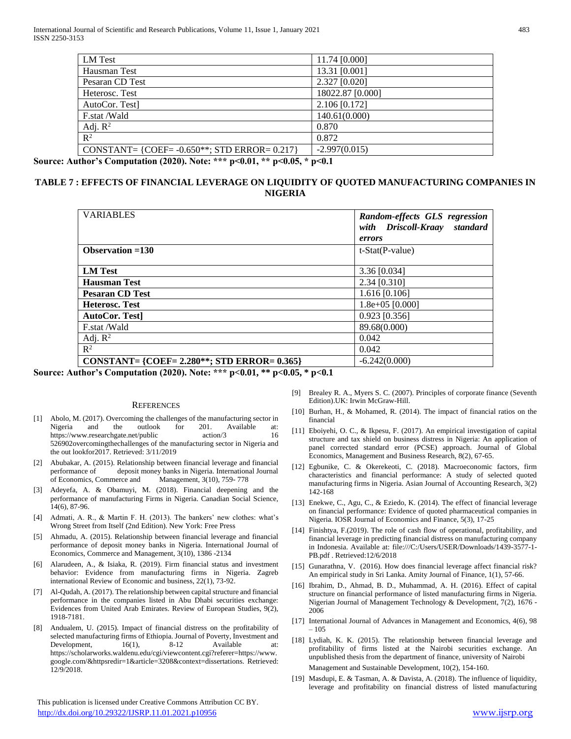| LM Test                                         | 11.74 [0.000]    |
|-------------------------------------------------|------------------|
| Hausman Test                                    | 13.31 [0.001]    |
| Pesaran CD Test                                 | 2.327 [0.020]    |
| Heterosc. Test                                  | 18022.87 [0.000] |
| AutoCor. Test                                   | 2.106 [0.172]    |
| F.stat /Wald                                    | 140.61(0.000)    |
| Adj. $R^2$                                      | 0.870            |
| $\mathbb{R}^2$                                  | 0.872            |
| CONSTANT= {COEF= $-0.650**$ ; STD ERROR= 0.217} | $-2.997(0.015)$  |
|                                                 |                  |

**Source: Author's Computation (2020). Note: \*\*\* p<0.01, \*\* p<0.05, \* p<0.1**

# **TABLE 7 : EFFECTS OF FINANCIAL LEVERAGE ON LIQUIDITY OF QUOTED MANUFACTURING COMPANIES IN NIGERIA**

| <b>VARIABLES</b>                               | Random-effects GLS regression<br>standard<br>with Driscoll-Kraay |
|------------------------------------------------|------------------------------------------------------------------|
|                                                | errors                                                           |
| Observation $=130$                             | $t-Stat(P-value)$                                                |
|                                                |                                                                  |
| <b>LM</b> Test                                 | $3.36$ [0.034]                                                   |
| <b>Hausman Test</b>                            | $2.34$ [0.310]                                                   |
| <b>Pesaran CD Test</b>                         | $1.616$ [0.106]                                                  |
| <b>Heterosc. Test</b>                          | $1.8e+05$ [0.000]                                                |
| <b>AutoCor. Test</b>                           | $0.923$ [0.356]                                                  |
| F.stat /Wald                                   | 89.68(0.000)                                                     |
| Adj. $R^2$                                     | 0.042                                                            |
| $\mathbb{R}^2$                                 | 0.042                                                            |
| CONSTANT= {COEF= 2.280**; STD ERROR= $0.365$ } | $-6.242(0.000)$                                                  |

**Source: Author's Computation (2020). Note: \*\*\* p<0.01, \*\* p<0.05, \* p<0.1**

#### **REFERENCES**

- [1] Abolo, M. (2017). Overcoming the challenges of the manufacturing sector in Nigeria and the outlook for 201. Available at: https://www.researchgate.net/public action/3 16 526902overcomingthechallenges of the manufacturing sector in Nigeria and the out lookfor2017. Retrieved: 3/11/2019
- [2] Abubakar, A. (2015). Relationship between financial leverage and financial performance of deposit money banks in Nigeria. International Journal of Economics, Commerce and Management, 3(10), 759- 778
- [3] Adeyefa, A. & Obamuyi, M. (2018). Financial deepening and the performance of manufacturing Firms in Nigeria. Canadian Social Science, 14(6), 87-96.
- [4] Admati, A. R., & Martin F. H. (2013). The bankers' new clothes: what's Wrong Street from Itself (2nd Edition). New York: Free Press
- [5] Ahmadu, A. (2015). Relationship between financial leverage and financial performance of deposit money banks in Nigeria. International Journal of Economics, Commerce and Management, 3(10), 1386 -2134
- [6] Alarudeen, A., & Isiaka, R. (2019). Firm financial status and investment behavior: Evidence from manufacturing firms in Nigeria. Zagreb international Review of Economic and business, 22(1), 73-92.
- [7] Al-Qudah, A. (2017). The relationship between capital structure and financial performance in the companies listed in Abu Dhabi securities exchange: Evidences from United Arab Emirates. Review of European Studies, 9(2), 1918-7181.
- [8] Andualem, U. (2015). Impact of financial distress on the profitability of selected manufacturing firms of Ethiopia. Journal of Poverty, Investment and Development,  $16(1)$ ,  $8-12$  Available at: https://scholarworks.waldenu.edu/cgi/viewcontent.cgi?referer=https://www. google.com/&httpsredir=1&article=3208&context=dissertations. Retrieved: 12/9/2018.

 This publication is licensed under Creative Commons Attribution CC BY. <http://dx.doi.org/10.29322/IJSRP.11.01.2021.p10956> [www.ijsrp.org](http://ijsrp.org/)

- [9] Brealey R. A., Myers S. C. (2007). Principles of corporate finance (Seventh Edition).UK: Irwin McGraw-Hill.
- [10] Burhan, H., & Mohamed, R. (2014). The impact of financial ratios on the financial
- [11] Eboiyehi, O. C., & Ikpesu, F. (2017). An empirical investigation of capital structure and tax shield on business distress in Nigeria: An application of panel corrected standard error (PCSE) approach. Journal of Global Economics, Management and Business Research, 8(2), 67-65.
- [12] Egbunike, C. & Okerekeoti, C. (2018). Macroeconomic factors, firm characteristics and financial performance: A study of selected quoted manufacturing firms in Nigeria. Asian Journal of Accounting Research, 3(2) 142-168
- [13] Enekwe, C., Agu, C., & Eziedo, K. (2014). The effect of financial leverage on financial performance: Evidence of quoted pharmaceutical companies in Nigeria. IOSR Journal of Economics and Finance, 5(3), 17-25
- [14] Finishtya, F.(2019). The role of cash flow of operational, profitability, and financial leverage in predicting financial distress on manufacturing company in Indonesia. Available at: file:///C:/Users/USER/Downloads/1439-3577-1- PB.pdf . Retrieved:12/6/2018
- [15] Gunarathna, V. (2016). How does financial leverage affect financial risk? An empirical study in Sri Lanka. Amity Journal of Finance, 1(1), 57-66.
- [16] Ibrahim, D., Ahmad, B. D., Muhammad, A. H. (2016). Effect of capital structure on financial performance of listed manufacturing firms in Nigeria. Nigerian Journal of Management Technology & Development, 7(2), 1676 - 2006
- [17] International Journal of Advances in Management and Economics, 4(6), 98 – 105
- [18] Lydiah, K. K. (2015). The relationship between financial leverage and profitability of firms listed at the Nairobi securities exchange. An unpublished thesis from the department of finance, university of Nairobi Management and Sustainable Development, 10(2), 154-160.
- [19] Masdupi, E. & Tasman, A. & Davista, A. (2018). The influence of liquidity, leverage and profitability on financial distress of listed manufacturing